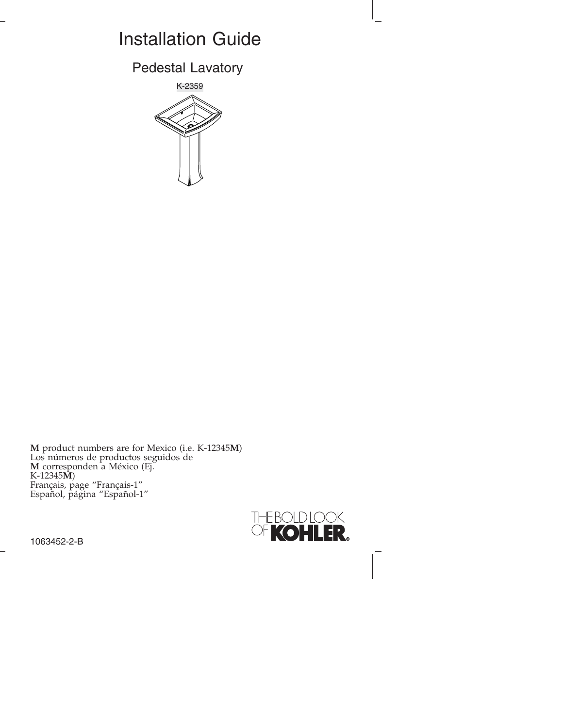# Installation Guide

Pedestal Lavatory



**M** product numbers are for Mexico (i.e. K-12345**M**) Los números de productos seguidos de **M** corresponden a México (Ej. K-12345**M**) Français, page "Français-1" Español, página "Español-1"



1063452-2-B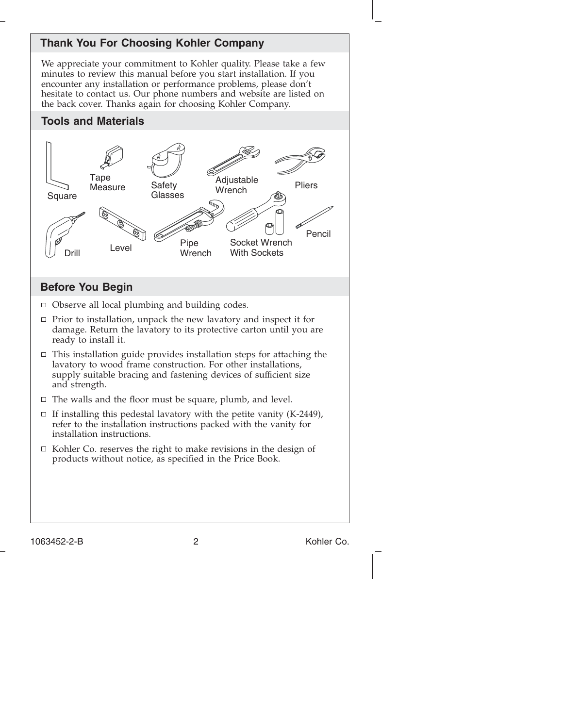# **Thank You For Choosing Kohler Company**

We appreciate your commitment to Kohler quality. Please take a few minutes to review this manual before you start installation. If you encounter any installation or performance problems, please don't hesitate to contact us. Our phone numbers and website are listed on the back cover. Thanks again for choosing Kohler Company.

### **Tools and Materials**



### **Before You Begin**

- $\Box$  Observe all local plumbing and building codes.
- $\Box$  Prior to installation, unpack the new lavatory and inspect it for damage. Return the lavatory to its protective carton until you are ready to install it.
- $\Box$  This installation guide provides installation steps for attaching the lavatory to wood frame construction. For other installations, supply suitable bracing and fastening devices of sufficient size and strength.
- $\Box$  The walls and the floor must be square, plumb, and level.
- $\Box$  If installing this pedestal lavatory with the petite vanity (K-2449), refer to the installation instructions packed with the vanity for installation instructions.
- $\Box$  Kohler Co. reserves the right to make revisions in the design of products without notice, as specified in the Price Book.

1063452-2-B 2 Kohler Co.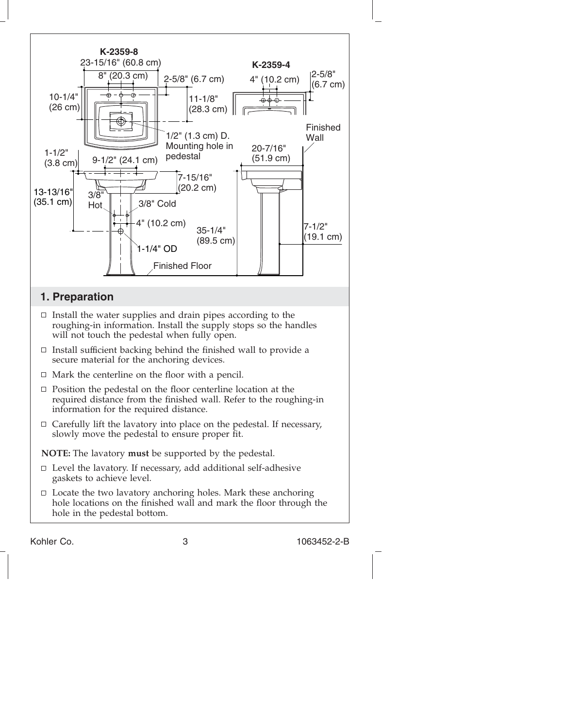

Kohler Co. 3 1063452-2-B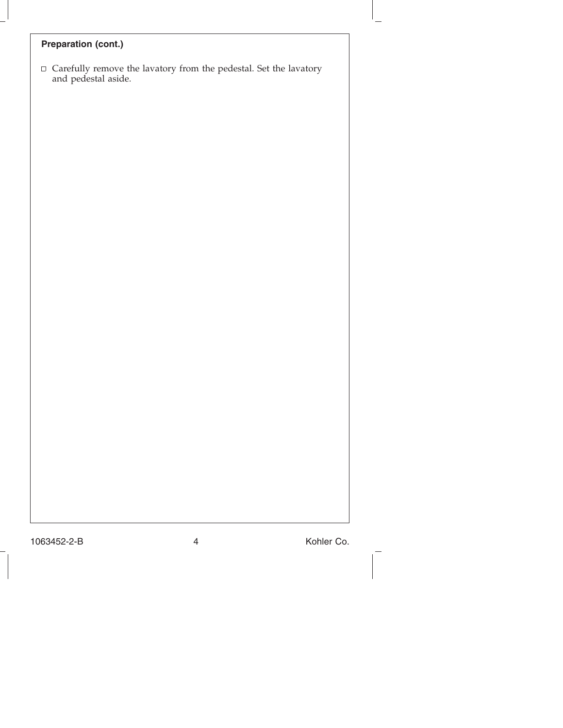# **Preparation (cont.)**

 $\Box$  Carefully remove the lavatory from the pedestal. Set the lavatory and pedestal aside.

1063452-2-B 4 Kohler Co.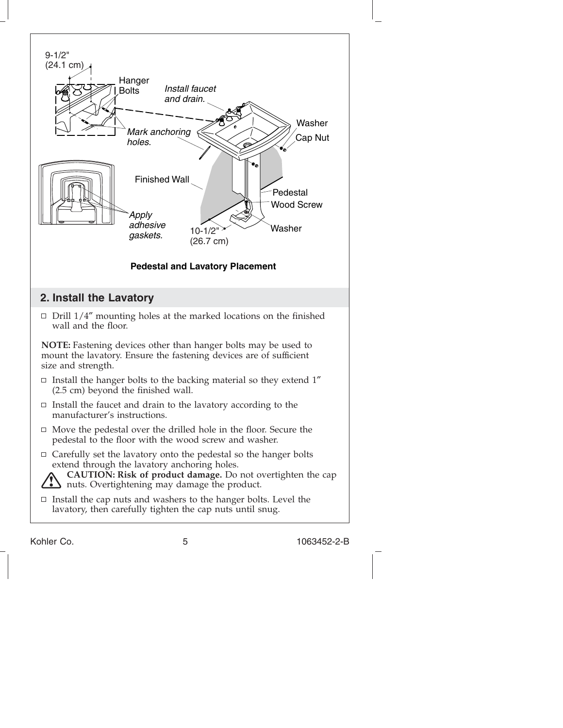

Kohler Co. 5 1063452-2-B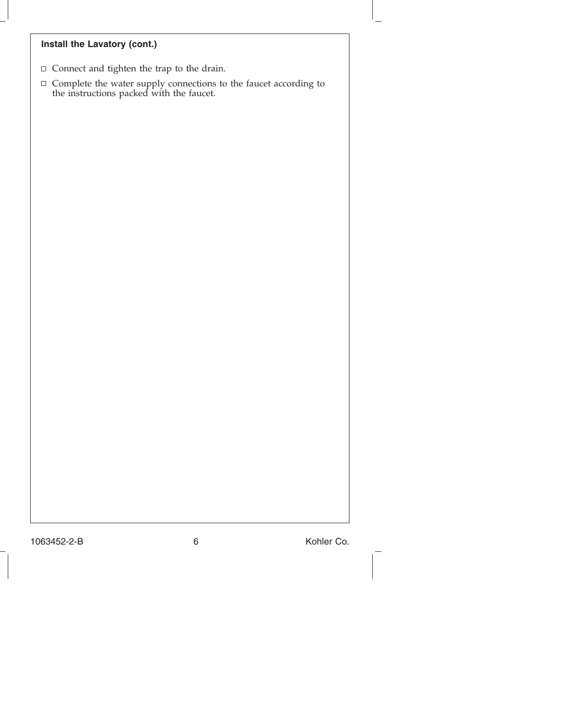### **Install the Lavatory (cont.)**

- $\Box$  Connect and tighten the trap to the drain.
- $\Box$  Complete the water supply connections to the faucet according to the instructions packed with the faucet.

1063452-2-B 6 Kohler Co.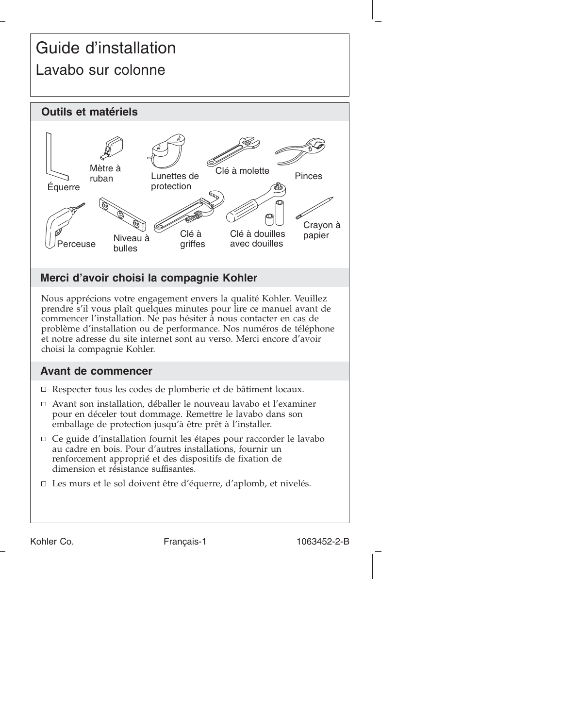# Guide d'installation Lavabo sur colonne



# **Merci d'avoir choisi la compagnie Kohler**

Nous apprécions votre engagement envers la qualité Kohler. Veuillez prendre s'il vous plaît quelques minutes pour lire ce manuel avant de commencer l'installation. Ne pas hésiter à nous contacter en cas de problème d'installation ou de performance. Nos numéros de téléphone et notre adresse du site internet sont au verso. Merci encore d'avoir choisi la compagnie Kohler.

## **Avant de commencer**

- Respecter tous les codes de plomberie et de bâtiment locaux.
- Avant son installation, déballer le nouveau lavabo et l'examiner pour en déceler tout dommage. Remettre le lavabo dans son emballage de protection jusqu'à être prêt à l'installer.
- Ce guide d'installation fournit les étapes pour raccorder le lavabo au cadre en bois. Pour d'autres installations, fournir un renforcement approprié et des dispositifs de fixation de dimension et résistance suffisantes.
- □ Les murs et le sol doivent être d'équerre, d'aplomb, et nivelés.

Kohler Co. Français-1 1063452-2-B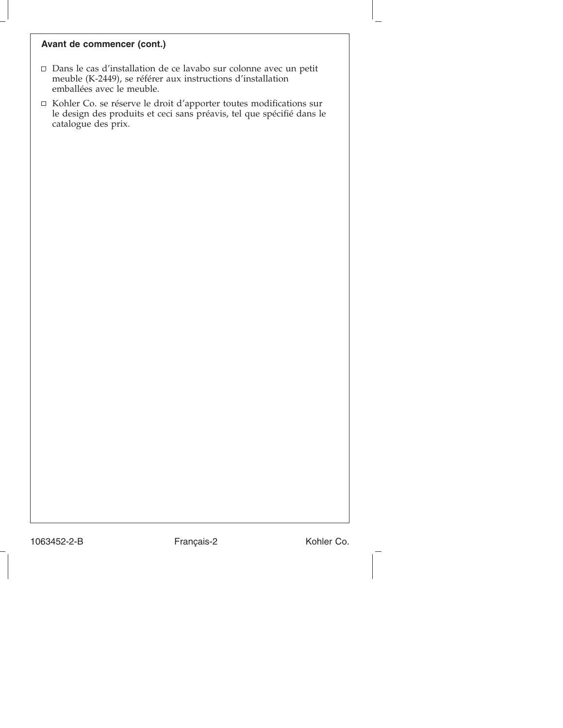#### **Avant de commencer (cont.)**

- Dans le cas d'installation de ce lavabo sur colonne avec un petit meuble (K-2449), se référer aux instructions d'installation emballées avec le meuble.
- Kohler Co. se réserve le droit d'apporter toutes modifications sur le design des produits et ceci sans préavis, tel que spécifié dans le catalogue des prix.

1063452-2-B Français-2 Kohler Co.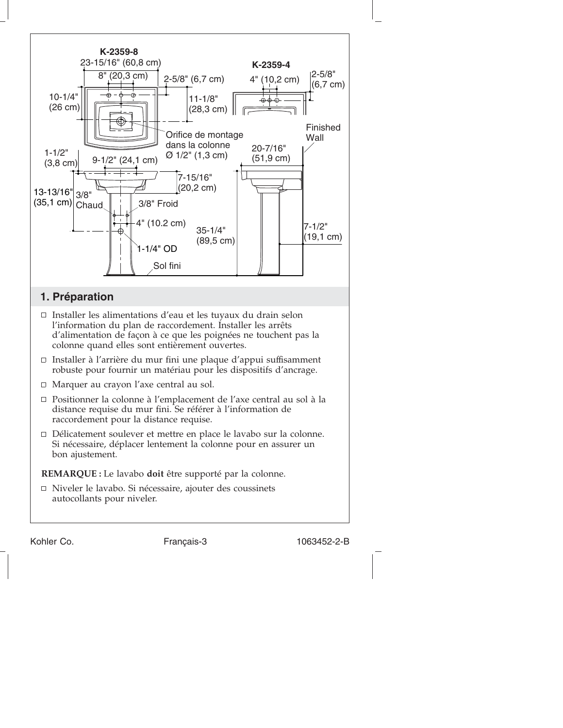

Délicatement soulever et mettre en place le lavabo sur la colonne. Si nécessaire, déplacer lentement la colonne pour en assurer un bon ajustement.

**REMARQUE :** Le lavabo **doit** être supporté par la colonne.

Niveler le lavabo. Si nécessaire, ajouter des coussinets autocollants pour niveler.

Kohler Co. Français-3 1063452-2-B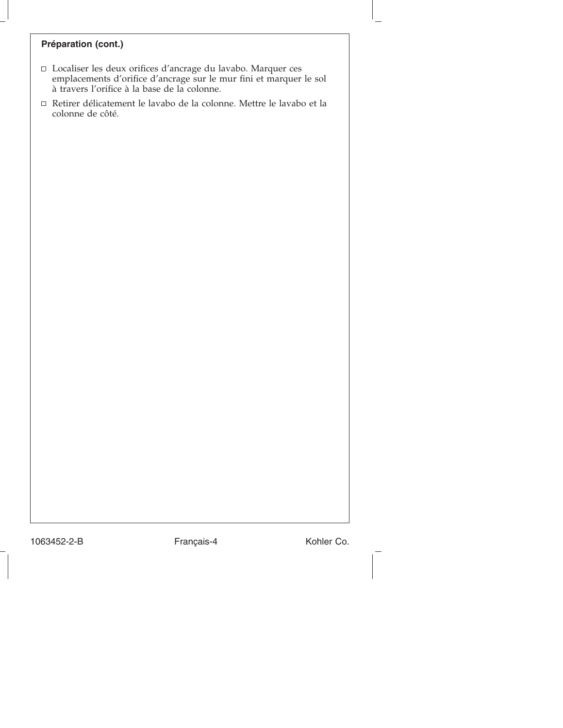# **Préparation (cont.)**

- Localiser les deux orifices d'ancrage du lavabo. Marquer ces emplacements d'orifice d'ancrage sur le mur fini et marquer le sol à travers l'orifice à la base de la colonne.
- Retirer délicatement le lavabo de la colonne. Mettre le lavabo et la colonne de côté.

1063452-2-B Français-4 Kohler Co.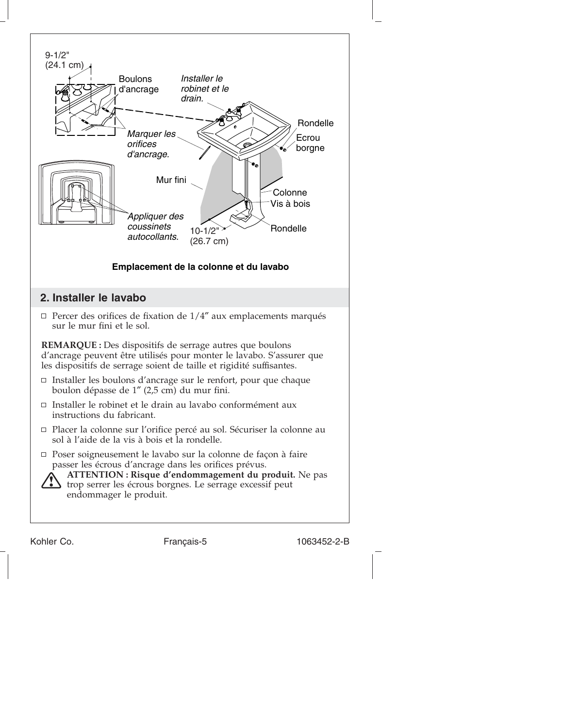

Kohler Co. Français-5 1063452-2-B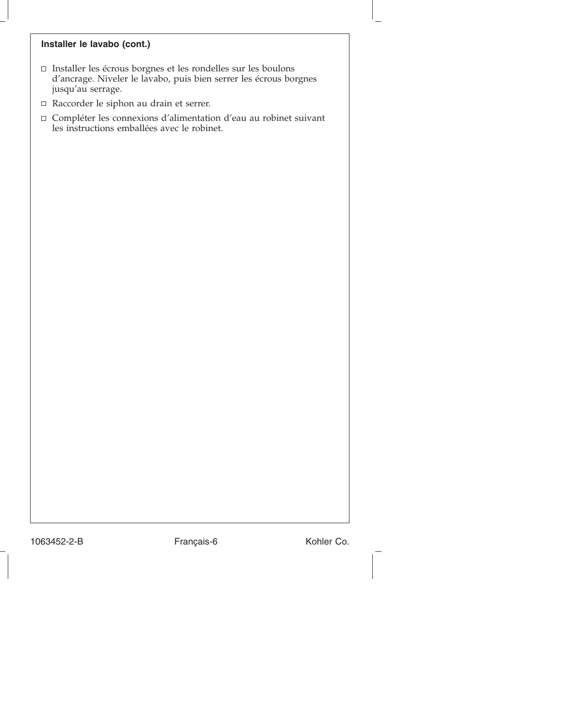#### **Installer le lavabo (cont.)**

- $\Box$  Installer les écrous borgnes et les rondelles sur les boulons d'ancrage. Niveler le lavabo, puis bien serrer les écrous borgnes jusqu'au serrage.
- Raccorder le siphon au drain et serrer.
- Compléter les connexions d'alimentation d'eau au robinet suivant les instructions emballées avec le robinet.

1063452-2-B Français-6 Kohler Co.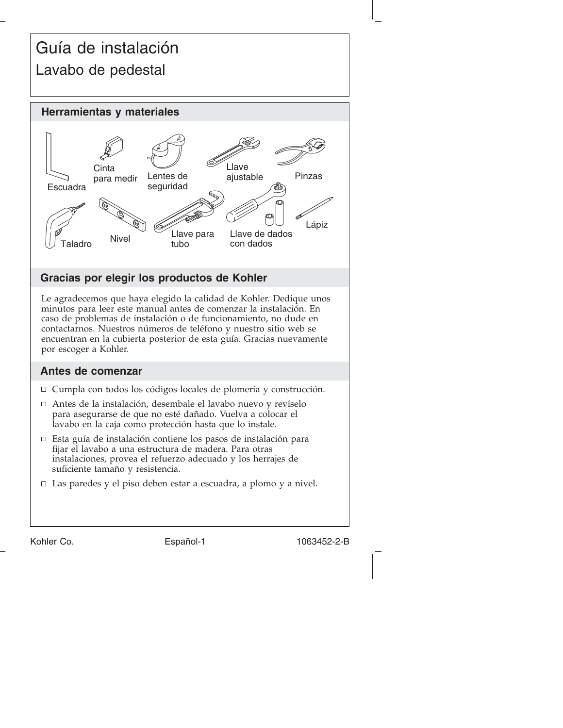# Guía de instalación Lavabo de pedestal



# **Gracias por elegir los productos de Kohler**

Le agradecemos que haya elegido la calidad de Kohler. Dedique unos minutos para leer este manual antes de comenzar la instalación. En caso de problemas de instalación o de funcionamiento, no dude en contactarnos. Nuestros números de teléfono y nuestro sitio web se encuentran en la cubierta posterior de esta guía. Gracias nuevamente por escoger a Kohler.

## **Antes de comenzar**

- Cumpla con todos los códigos locales de plomería y construcción.
- Antes de la instalación, desembale el lavabo nuevo y revíselo para asegurarse de que no esté dañado. Vuelva a colocar el lavabo en la caja como protección hasta que lo instale.
- Esta guía de instalación contiene los pasos de instalación para fijar el lavabo a una estructura de madera. Para otras instalaciones, provea el refuerzo adecuado y los herrajes de suficiente tamaño y resistencia.
- Las paredes y el piso deben estar a escuadra, a plomo y a nivel.

Kohler Co. **Español-1** 1063452-2-B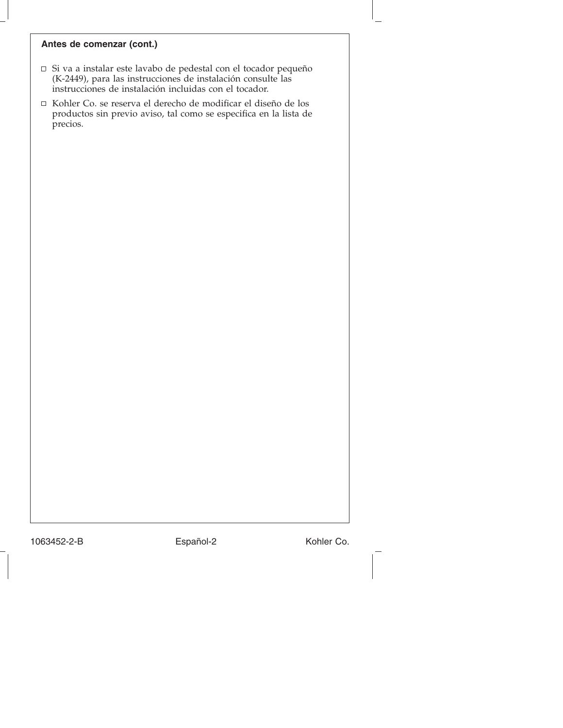#### **Antes de comenzar (cont.)**

- Si va a instalar este lavabo de pedestal con el tocador pequeño (K-2449), para las instrucciones de instalación consulte las instrucciones de instalación incluidas con el tocador.
- $\Box~$ Kohler Co. se reserva el derecho de modificar el diseño de los productos sin previo aviso, tal como se especifica en la lista de precios.

1063452-2-B Español-2 Kohler Co.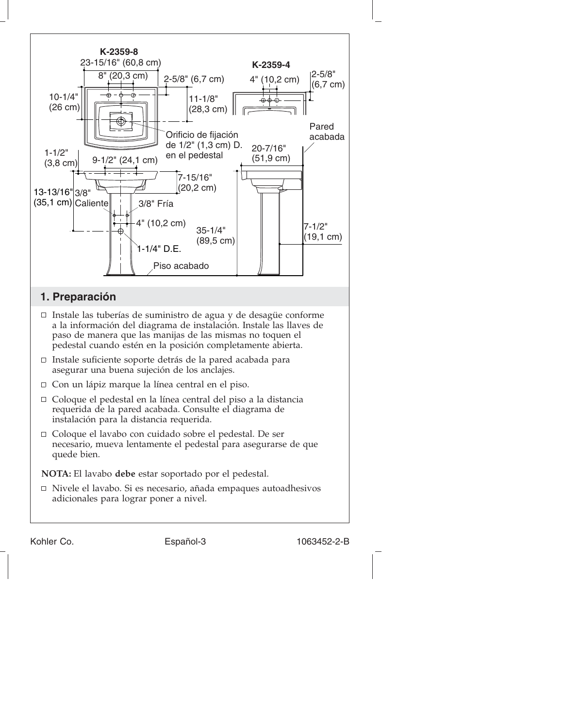

**NOTA:** El lavabo **debe** estar soportado por el pedestal.

 $\Box$  Nivele el lavabo. Si es necesario, añada empaques autoadhesivos adicionales para lograr poner a nivel.

Kohler Co. **Español-3** Español-3 1063452-2-B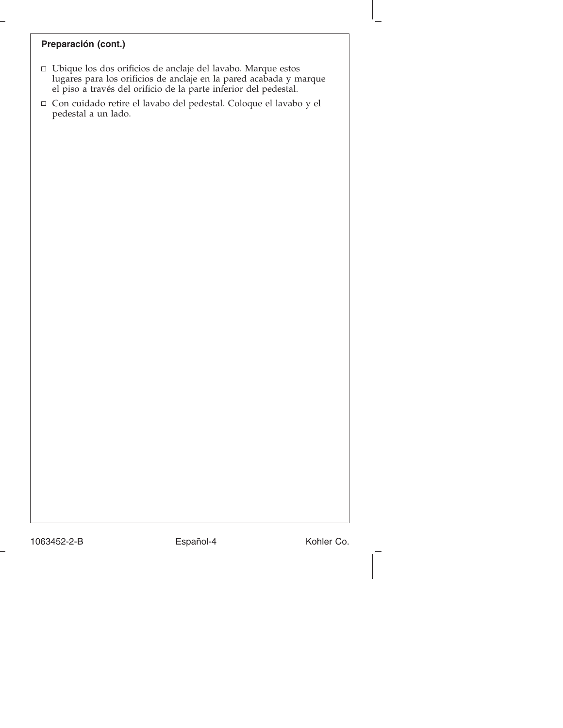#### **Preparación (cont.)**

- Ubique los dos orificios de anclaje del lavabo. Marque estos lugares para los orificios de anclaje en la pared acabada y marque el piso a través del orificio de la parte inferior del pedestal.
- Con cuidado retire el lavabo del pedestal. Coloque el lavabo y el pedestal a un lado.

1063452-2-B Español-4 Kohler Co.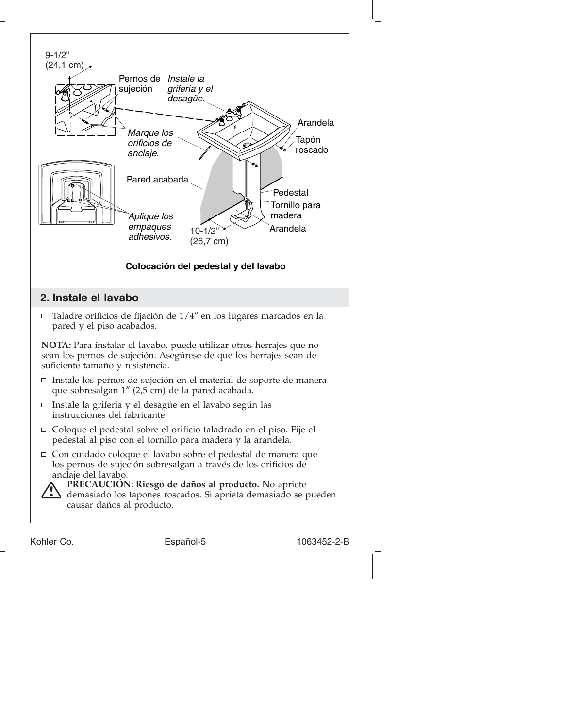

Kohler Co. **Español-5** Español-5 1063452-2-B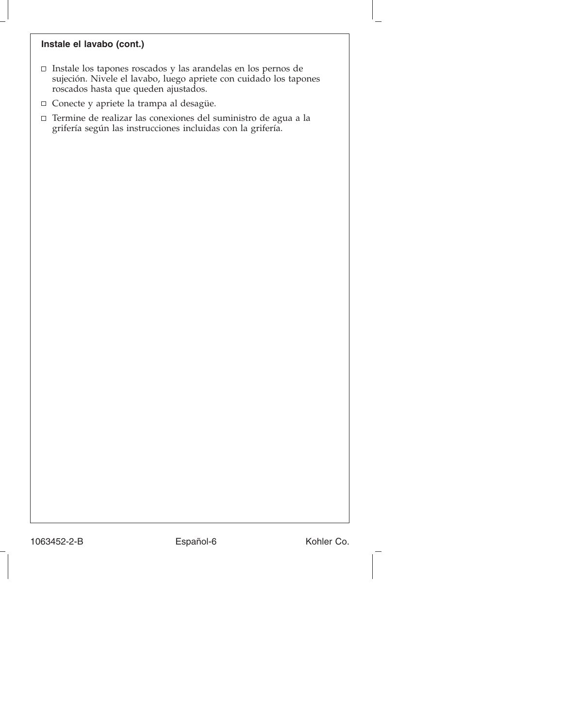#### **Instale el lavabo (cont.)**

- Instale los tapones roscados y las arandelas en los pernos de sujeción. Nivele el lavabo, luego apriete con cuidado los tapones roscados hasta que queden ajustados.
- Conecte y apriete la trampa al desagüe.
- $\Box$  Termine de realizar las conexiones del suministro de agua a la grifería según las instrucciones incluidas con la grifería.

1063452-2-B Español-6 Kohler Co.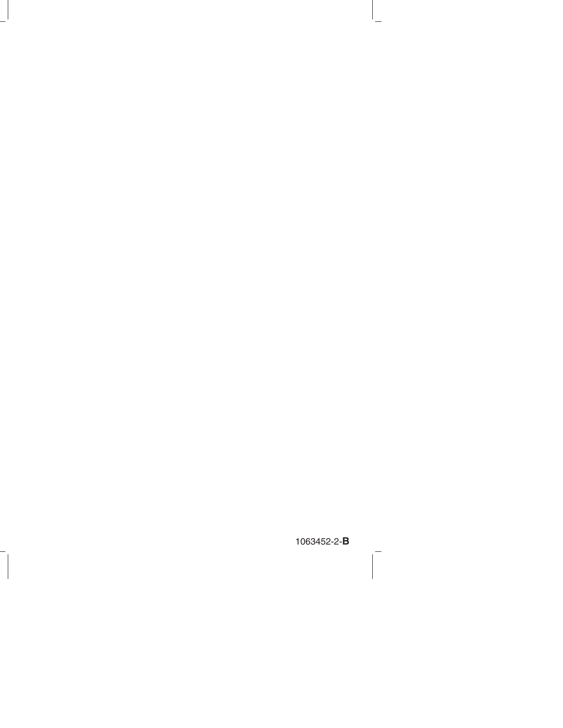1063452-2-**B**

 $\overline{a}$